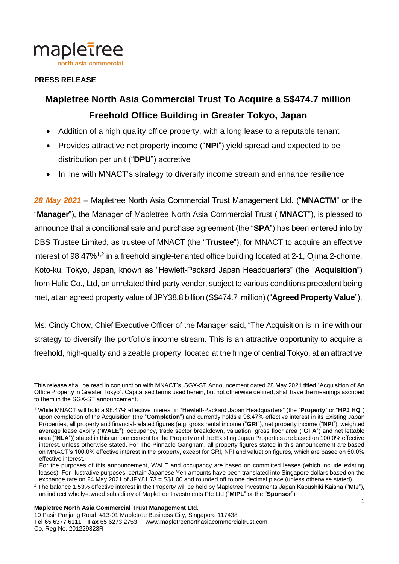

#### **PRESS RELEASE**

# **Mapletree North Asia Commercial Trust To Acquire a S\$474.7 million Freehold Office Building in Greater Tokyo, Japan**

- Addition of a high quality office property, with a long lease to a reputable tenant
- Provides attractive net property income ("**NPI**") yield spread and expected to be distribution per unit ("**DPU**") accretive
- In line with MNACT's strategy to diversify income stream and enhance resilience

*28 May 2021* – Mapletree North Asia Commercial Trust Management Ltd. ("**MNACTM**" or the "**Manager**"), the Manager of Mapletree North Asia Commercial Trust ("**MNACT**"), is pleased to announce that a conditional sale and purchase agreement (the "**SPA**") has been entered into by DBS Trustee Limited, as trustee of MNACT (the "**Trustee**"), for MNACT to acquire an effective interest of 98.47%<sup>1,2</sup> in a freehold single-tenanted office building located at 2-1, Ojima 2-chome, Koto-ku, Tokyo, Japan, known as "Hewlett-Packard Japan Headquarters" (the "**Acquisition**") from Hulic Co., Ltd, an unrelated third party vendor, subject to various conditions precedent being met, at an agreed property value of JPY38.8 billion (S\$474.7 million) ("**Agreed Property Value**").

Ms. Cindy Chow, Chief Executive Officer of the Manager said, "The Acquisition is in line with our strategy to diversify the portfolio's income stream. This is an attractive opportunity to acquire a freehold, high-quality and sizeable property, located at the fringe of central Tokyo, at an attractive

 $\overline{a}$ This release shall be read in conjunction with MNACT's SGX-ST Announcement dated 28 May 2021 titled "Acquisition of An Office Property in Greater Tokyo". Capitalised terms used herein, but not otherwise defined, shall have the meanings ascribed to them in the SGX-ST announcement.

<sup>1</sup> While MNACT will hold a 98.47% effective interest in "Hewlett-Packard Japan Headquarters" (the "**Property**" or "**HPJ HQ**") upon completion of the Acquisition (the "**Completion**") and currently holds a 98.47% effective interest in its Existing Japan Properties, all property and financial-related figures (e.g. gross rental income ("**GRI**"), net property income ("**NPI**"), weighted average lease expiry ("**WALE**"), occupancy, trade sector breakdown, valuation, gross floor area ("**GFA**") and net lettable area ("**NLA**")) stated in this announcement for the Property and the Existing Japan Properties are based on 100.0% effective interest, unless otherwise stated. For The Pinnacle Gangnam, all property figures stated in this announcement are based on MNACT's 100.0% effective interest in the property, except for GRI, NPI and valuation figures, which are based on 50.0% effective interest.

For the purposes of this announcement, WALE and occupancy are based on committed leases (which include existing leases). For illustrative purposes, certain Japanese Yen amounts have been translated into Singapore dollars based on the exchange rate on 24 May 2021 of JPY81.73 = S\$1.00 and rounded off to one decimal place (unless otherwise stated).

<sup>2</sup> The balance 1.53% effective interest in the Property will be held by Mapletree Investments Japan Kabushiki Kaisha ("**MIJ**"), an indirect wholly-owned subsidiary of Mapletree Investments Pte Ltd ("**MIPL**" or the "**Sponsor**").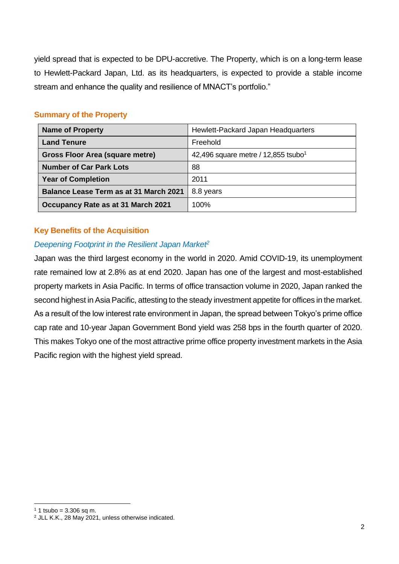yield spread that is expected to be DPU-accretive. The Property, which is on a long-term lease to Hewlett-Packard Japan, Ltd. as its headquarters, is expected to provide a stable income stream and enhance the quality and resilience of MNACT's portfolio."

### **Summary of the Property**

| <b>Name of Property</b>                       | Hewlett-Packard Japan Headquarters                |
|-----------------------------------------------|---------------------------------------------------|
| <b>Land Tenure</b>                            | Freehold                                          |
| Gross Floor Area (square metre)               | 42,496 square metre / $12,855$ tsubo <sup>1</sup> |
| <b>Number of Car Park Lots</b>                | 88                                                |
| <b>Year of Completion</b>                     | 2011                                              |
| <b>Balance Lease Term as at 31 March 2021</b> | 8.8 years                                         |
| Occupancy Rate as at 31 March 2021            | 100%                                              |

## **Key Benefits of the Acquisition**

## *Deepening Footprint in the Resilient Japan Market<sup>2</sup>*

Japan was the third largest economy in the world in 2020. Amid COVID-19, its unemployment rate remained low at 2.8% as at end 2020. Japan has one of the largest and most-established property markets in Asia Pacific. In terms of office transaction volume in 2020, Japan ranked the second highest in Asia Pacific, attesting to the steady investment appetite for offices in the market. As a result of the low interest rate environment in Japan, the spread between Tokyo's prime office cap rate and 10-year Japan Government Bond yield was 258 bps in the fourth quarter of 2020. This makes Tokyo one of the most attractive prime office property investment markets in the Asia Pacific region with the highest yield spread.

 $\overline{a}$ 

 $1$  1 tsubo = 3.306 sq m.

<sup>2</sup> JLL K.K., 28 May 2021, unless otherwise indicated.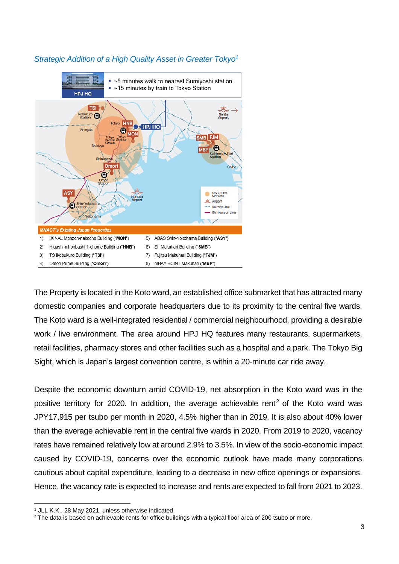

## *Strategic Addition of a High Quality Asset in Greater Tokyo<sup>1</sup>*

The Property is located in the Koto ward, an established office submarket that has attracted many domestic companies and corporate headquarters due to its proximity to the central five wards. The Koto ward is a well-integrated residential / commercial neighbourhood, providing a desirable work / live environment. The area around HPJ HQ features many restaurants, supermarkets, retail facilities, pharmacy stores and other facilities such as a hospital and a park. The Tokyo Big Sight, which is Japan's largest convention centre, is within a 20-minute car ride away.

Despite the economic downturn amid COVID-19, net absorption in the Koto ward was in the positive territory for 2020. In addition, the average achievable rent<sup>2</sup> of the Koto ward was JPY17,915 per tsubo per month in 2020, 4.5% higher than in 2019. It is also about 40% lower than the average achievable rent in the central five wards in 2020. From 2019 to 2020, vacancy rates have remained relatively low at around 2.9% to 3.5%. In view of the socio-economic impact caused by COVID-19, concerns over the economic outlook have made many corporations cautious about capital expenditure, leading to a decrease in new office openings or expansions. Hence, the vacancy rate is expected to increase and rents are expected to fall from 2021 to 2023.

 $\overline{a}$ <sup>1</sup> JLL K.K., 28 May 2021, unless otherwise indicated.

<sup>&</sup>lt;sup>2</sup> The data is based on achievable rents for office buildings with a typical floor area of 200 tsubo or more.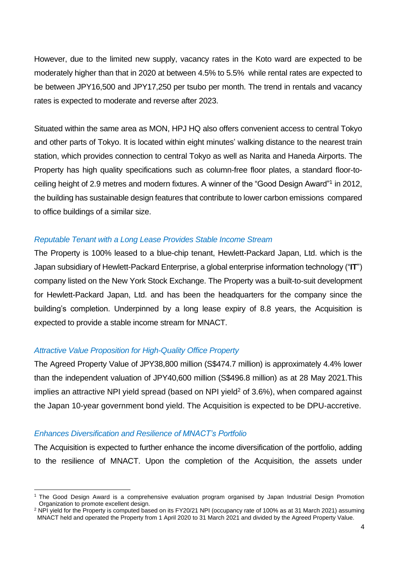However, due to the limited new supply, vacancy rates in the Koto ward are expected to be moderately higher than that in 2020 at between 4.5% to 5.5% while rental rates are expected to be between JPY16,500 and JPY17,250 per tsubo per month. The trend in rentals and vacancy rates is expected to moderate and reverse after 2023.

Situated within the same area as MON, HPJ HQ also offers convenient access to central Tokyo and other parts of Tokyo. It is located within eight minutes' walking distance to the nearest train station, which provides connection to central Tokyo as well as Narita and Haneda Airports. The Property has high quality specifications such as column-free floor plates, a standard floor-toceiling height of 2.9 metres and modern fixtures. A winner of the "Good Design Award"<sup>1</sup> in 2012, the building has sustainable design features that contribute to lower carbon emissions compared to office buildings of a similar size.

#### *Reputable Tenant with a Long Lease Provides Stable Income Stream*

The Property is 100% leased to a blue-chip tenant, Hewlett-Packard Japan, Ltd. which is the Japan subsidiary of Hewlett-Packard Enterprise, a global enterprise information technology ("**IT**") company listed on the New York Stock Exchange. The Property was a built-to-suit development for Hewlett-Packard Japan, Ltd. and has been the headquarters for the company since the building's completion. Underpinned by a long lease expiry of 8.8 years, the Acquisition is expected to provide a stable income stream for MNACT.

#### *Attractive Value Proposition for High-Quality Office Property*

The Agreed Property Value of JPY38,800 million (S\$474.7 million) is approximately 4.4% lower than the independent valuation of JPY40,600 million (S\$496.8 million) as at 28 May 2021.This implies an attractive NPI yield spread (based on NPI yield<sup>2</sup> of 3.6%), when compared against the Japan 10-year government bond yield. The Acquisition is expected to be DPU-accretive.

#### *Enhances Diversification and Resilience of MNACT's Portfolio*

 $\overline{a}$ 

The Acquisition is expected to further enhance the income diversification of the portfolio, adding to the resilience of MNACT. Upon the completion of the Acquisition, the assets under

<sup>1</sup> The Good Design Award is a comprehensive evaluation program organised by Japan Industrial Design Promotion Organization to promote excellent design.

 $2$  NPI yield for the Property is computed based on its FY20/21 NPI (occupancy rate of 100% as at 31 March 2021) assuming MNACT held and operated the Property from 1 April 2020 to 31 March 2021 and divided by the Agreed Property Value.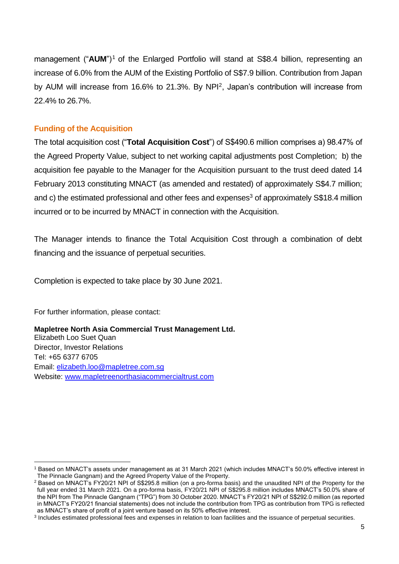management ("AUM")<sup>1</sup> of the Enlarged Portfolio will stand at S\$8.4 billion, representing an increase of 6.0% from the AUM of the Existing Portfolio of S\$7.9 billion. Contribution from Japan by AUM will increase from 16.6% to 21.3%. By NPI<sup>2</sup>, Japan's contribution will increase from 22.4% to 26.7%.

#### **Funding of the Acquisition**

The total acquisition cost ("**Total Acquisition Cost**") of S\$490.6 million comprises a) 98.47% of the Agreed Property Value, subject to net working capital adjustments post Completion; b) the acquisition fee payable to the Manager for the Acquisition pursuant to the trust deed dated 14 February 2013 constituting MNACT (as amended and restated) of approximately S\$4.7 million; and c) the estimated professional and other fees and expenses<sup>3</sup> of approximately S\$18.4 million incurred or to be incurred by MNACT in connection with the Acquisition.

The Manager intends to finance the Total Acquisition Cost through a combination of debt financing and the issuance of perpetual securities.

Completion is expected to take place by 30 June 2021.

For further information, please contact:

**Mapletree North Asia Commercial Trust Management Ltd.** Elizabeth Loo Suet Quan Director, Investor Relations Tel: +65 6377 6705 Email: [elizabeth.loo@mapletree.com.sg](mailto:elizabeth.loo@mapletree.com.sg) Website: [www.mapletreenorthasiacommercialtrust.com](http://www.mapletreenorthasiacommercialtrust.com/)

 $\overline{a}$ <sup>1</sup> Based on MNACT's assets under management as at 31 March 2021 (which includes MNACT's 50.0% effective interest in The Pinnacle Gangnam) and the Agreed Property Value of the Property.

<sup>2</sup> Based on MNACT's FY20/21 NPI of S\$295.8 million (on a pro-forma basis) and the unaudited NPI of the Property for the full year ended 31 March 2021. On a pro-forma basis, FY20/21 NPI of S\$295.8 million includes MNACT's 50.0% share of the NPI from The Pinnacle Gangnam ("TPG") from 30 October 2020. MNACT's FY20/21 NPI of S\$292.0 million (as reported in MNACT's FY20/21 financial statements) does not include the contribution from TPG as contribution from TPG is reflected as MNACT's share of profit of a joint venture based on its 50% effective interest.

<sup>3</sup> Includes estimated professional fees and expenses in relation to loan facilities and the issuance of perpetual securities.